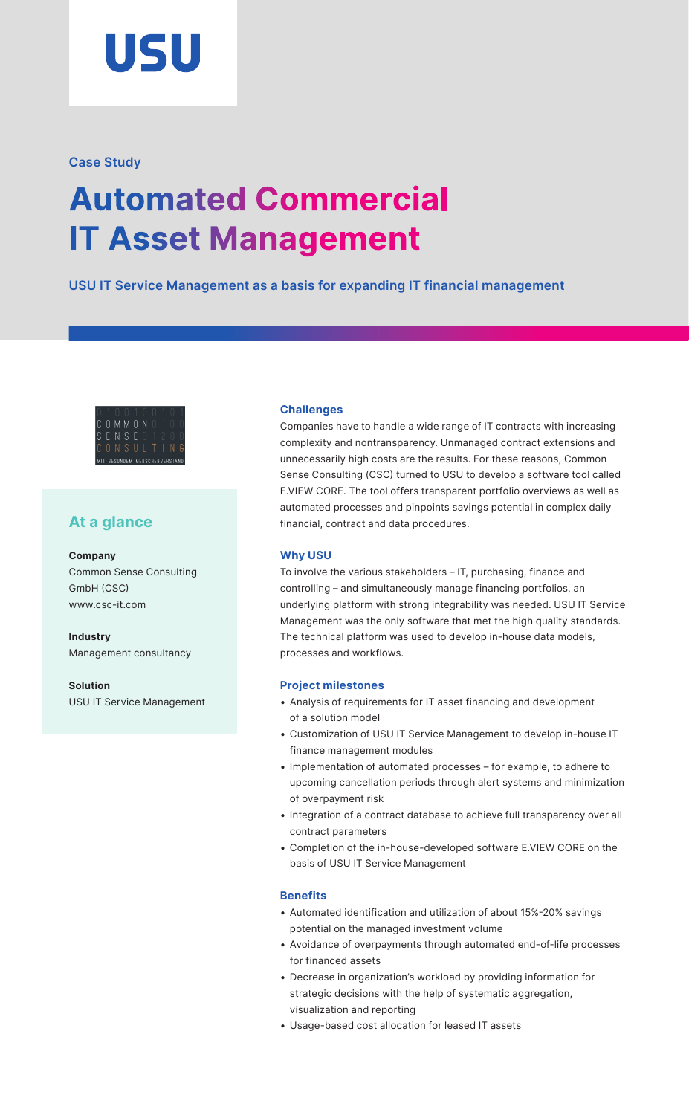

# **Case Study**

# **Automated Commercial IT Asset Management**

**USU IT Service Management as a basis for expanding IT financial management**



# **At a glance**

**Company**  Common Sense Consulting GmbH (CSC) [www.csc-it.com](http://www.csc-it.com)

**Industry**  Management consultancy

**Solution**  USU IT Service Management

# **Challenges**

Companies have to handle a wide range of IT contracts with increasing complexity and nontransparency. Unmanaged contract extensions and unnecessarily high costs are the results. For these reasons, Common Sense Consulting (CSC) turned to USU to develop a software tool called E.VIEW CORE. The tool offers transparent portfolio overviews as well as automated processes and pinpoints savings potential in complex daily financial, contract and data procedures.

### **Why USU**

To involve the various stakeholders – IT, purchasing, finance and controlling – and simultaneously manage financing portfolios, an underlying platform with strong integrability was needed. USU IT Service Management was the only software that met the high quality standards. The technical platform was used to develop in-house data models, processes and workflows.

## **Project milestones**

- Analysis of requirements for IT asset financing and development of a solution model
- Customization of USU IT Service Management to develop in-house IT finance management modules
- Implementation of automated processes for example, to adhere to upcoming cancellation periods through alert systems and minimization of overpayment risk
- Integration of a contract database to achieve full transparency over all contract parameters
- Completion of the in-house-developed software E.VIEW CORE on the basis of USU IT Service Management

## **Benefits**

- Automated identification and utilization of about 15%-20% savings potential on the managed investment volume
- Avoidance of overpayments through automated end-of-life processes for financed assets
- Decrease in organization's workload by providing information for strategic decisions with the help of systematic aggregation, visualization and reporting
- Usage-based cost allocation for leased IT assets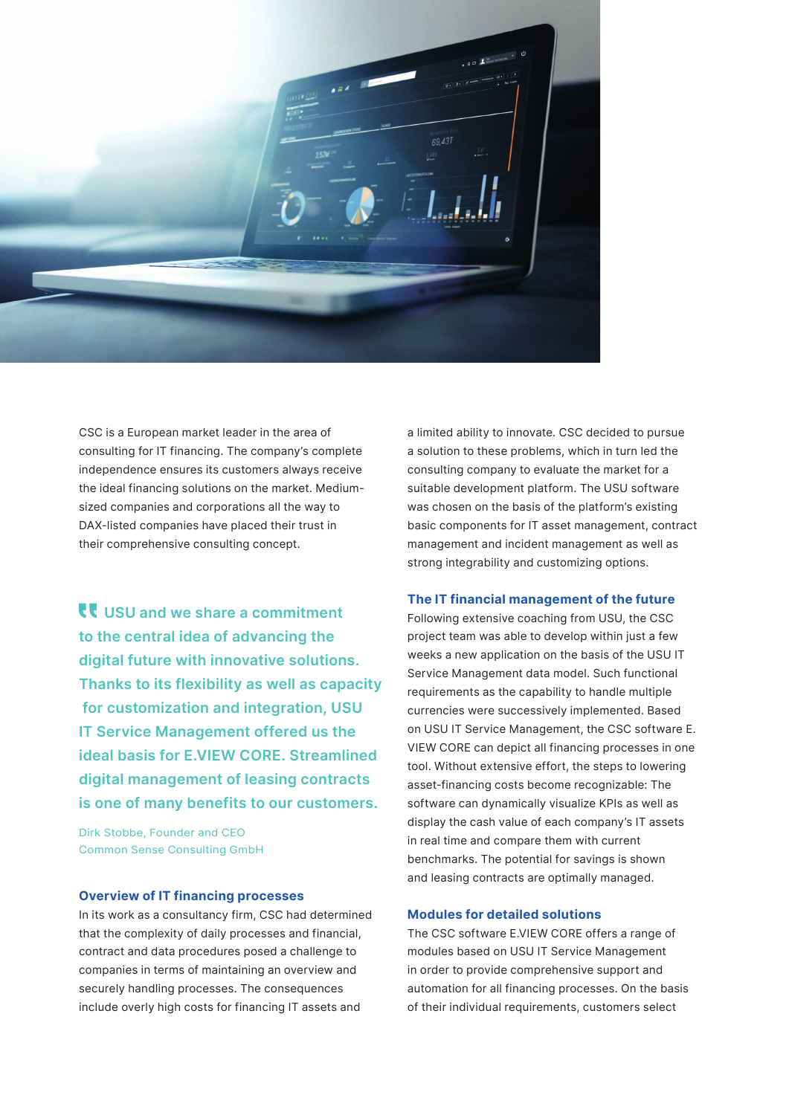$184$ 69.431

CSC is a European market leader in the area of consulting for IT financing. The company's complete independence ensures its customers always receive the ideal financing solutions on the market. Mediumsized companies and corporations all the way to DAX-listed companies have placed their trust in their comprehensive consulting concept.

**USU and we share a commitment to the central idea of advancing the digital future with innovative solutions. Thanks to its flexibility as well as capacity for customization and integration, USU IT Service Management offered us the ideal basis for E.VIEW CORE. Streamlined digital management of leasing contracts is one of many benefits to our customers.**

Dirk Stobbe, Founder and CEO Common Sense Consulting GmbH

#### **Overview of IT financing processes**

In its work as a consultancy firm, CSC had determined that the complexity of daily processes and financial, contract and data procedures posed a challenge to companies in terms of maintaining an overview and securely handling processes. The consequences include overly high costs for financing IT assets and

a limited ability to innovate. CSC decided to pursue a solution to these problems, which in turn led the consulting company to evaluate the market for a suitable development platform. The USU software was chosen on the basis of the platform's existing basic components for IT asset management, contract management and incident management as well as strong integrability and customizing options.

#### **The IT financial management of the future**

Following extensive coaching from USU, the CSC project team was able to develop within just a few weeks a new application on the basis of the USU IT Service Management data model. Such functional requirements as the capability to handle multiple currencies were successively implemented. Based on USU IT Service Management, the CSC software E. VIEW CORE can depict all financing processes in one tool. Without extensive effort, the steps to lowering asset-financing costs become recognizable: The software can dynamically visualize KPIs as well as display the cash value of each company's IT assets in real time and compare them with current benchmarks. The potential for savings is shown and leasing contracts are optimally managed.

#### **Modules for detailed solutions**

The CSC software E.VIEW CORE offers a range of modules based on USU IT Service Management in order to provide comprehensive support and automation for all financing processes. On the basis of their individual requirements, customers select